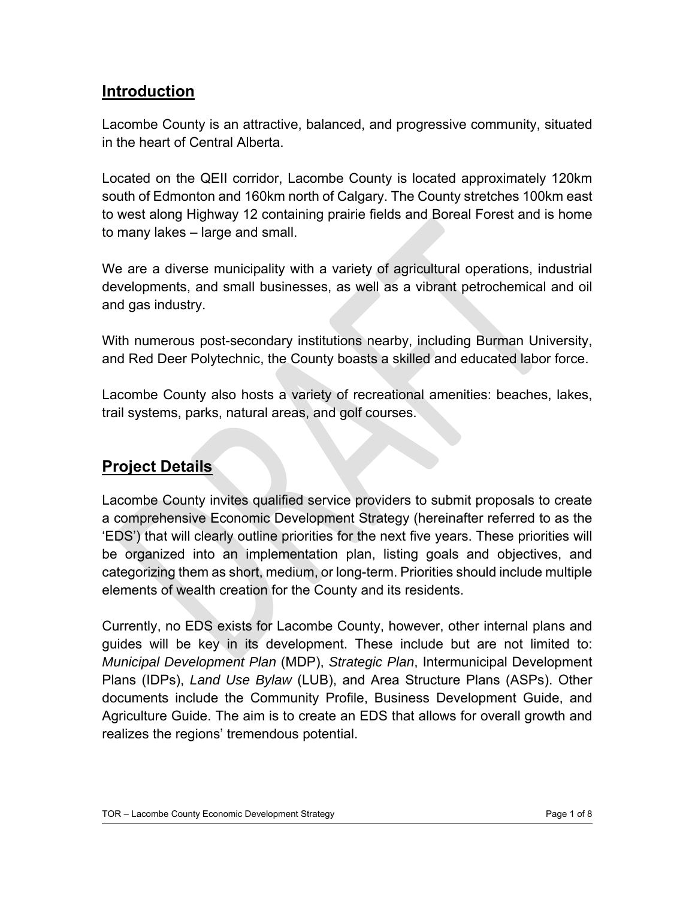#### **Introduction**

Lacombe County is an attractive, balanced, and progressive community, situated in the heart of Central Alberta.

Located on the QEII corridor, Lacombe County is located approximately 120km south of Edmonton and 160km north of Calgary. The County stretches 100km east to west along Highway 12 containing prairie fields and Boreal Forest and is home to many lakes – large and small.

We are a diverse municipality with a variety of agricultural operations, industrial developments, and small businesses, as well as a vibrant petrochemical and oil and gas industry.

With numerous post-secondary institutions nearby, including Burman University, and Red Deer Polytechnic, the County boasts a skilled and educated labor force.

Lacombe County also hosts a variety of recreational amenities: beaches, lakes, trail systems, parks, natural areas, and golf courses.

## **Project Details**

Lacombe County invites qualified service providers to submit proposals to create a comprehensive Economic Development Strategy (hereinafter referred to as the 'EDS') that will clearly outline priorities for the next five years. These priorities will be organized into an implementation plan, listing goals and objectives, and categorizing them as short, medium, or long-term. Priorities should include multiple elements of wealth creation for the County and its residents.

Currently, no EDS exists for Lacombe County, however, other internal plans and guides will be key in its development. These include but are not limited to: *Municipal Development Plan* (MDP), *Strategic Plan*, Intermunicipal Development Plans (IDPs), *Land Use Bylaw* (LUB), and Area Structure Plans (ASPs). Other documents include the Community Profile, Business Development Guide, and Agriculture Guide. The aim is to create an EDS that allows for overall growth and realizes the regions' tremendous potential.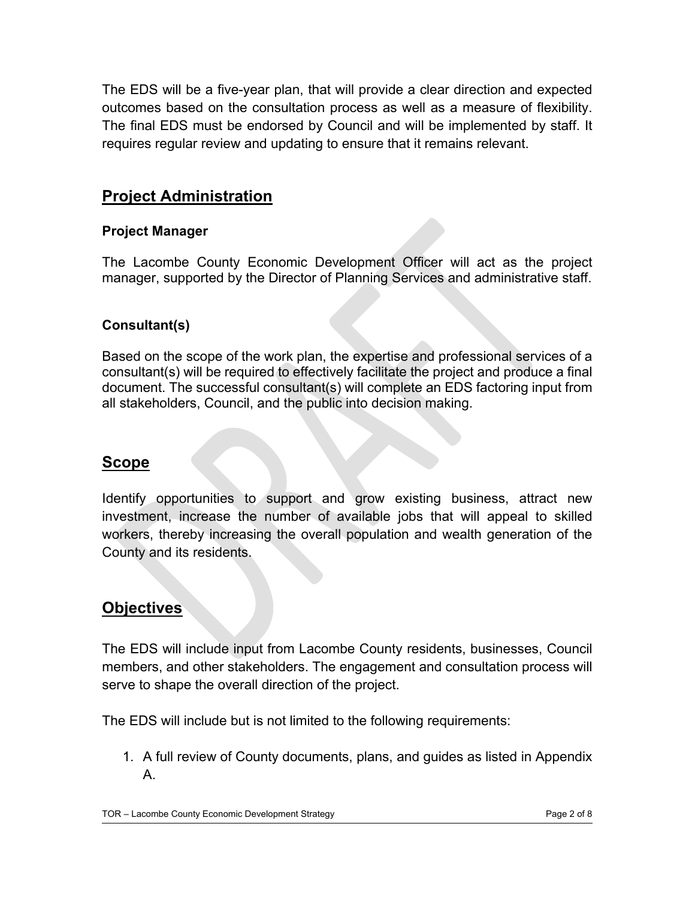The EDS will be a five-year plan, that will provide a clear direction and expected outcomes based on the consultation process as well as a measure of flexibility. The final EDS must be endorsed by Council and will be implemented by staff. It requires regular review and updating to ensure that it remains relevant.

## **Project Administration**

#### **Project Manager**

The Lacombe County Economic Development Officer will act as the project manager, supported by the Director of Planning Services and administrative staff.

#### **Consultant(s)**

Based on the scope of the work plan, the expertise and professional services of a consultant(s) will be required to effectively facilitate the project and produce a final document. The successful consultant(s) will complete an EDS factoring input from all stakeholders, Council, and the public into decision making.

#### **Scope**

Identify opportunities to support and grow existing business, attract new investment, increase the number of available jobs that will appeal to skilled workers, thereby increasing the overall population and wealth generation of the County and its residents.

## **Objectives**

The EDS will include input from Lacombe County residents, businesses, Council members, and other stakeholders. The engagement and consultation process will serve to shape the overall direction of the project.

The EDS will include but is not limited to the following requirements:

1. A full review of County documents, plans, and guides as listed in Appendix A.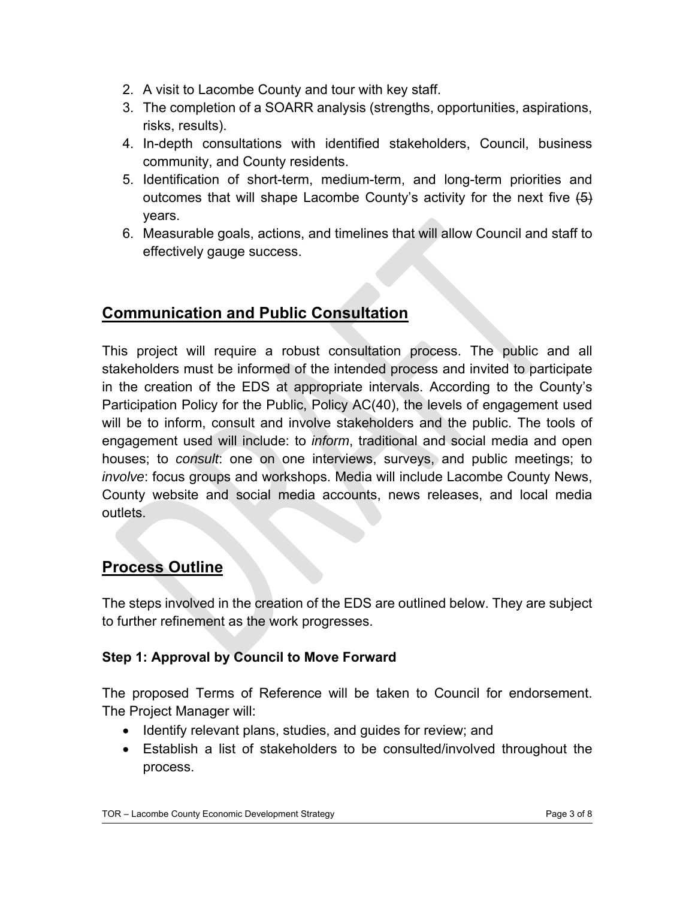- 2. A visit to Lacombe County and tour with key staff.
- 3. The completion of a SOARR analysis (strengths, opportunities, aspirations, risks, results).
- 4. In-depth consultations with identified stakeholders, Council, business community, and County residents.
- 5. Identification of short-term, medium-term, and long-term priorities and outcomes that will shape Lacombe County's activity for the next five  $\left(5\right)$ years.
- 6. Measurable goals, actions, and timelines that will allow Council and staff to effectively gauge success.

## **Communication and Public Consultation**

This project will require a robust consultation process. The public and all stakeholders must be informed of the intended process and invited to participate in the creation of the EDS at appropriate intervals. According to the County's Participation Policy for the Public, Policy AC(40), the levels of engagement used will be to inform, consult and involve stakeholders and the public. The tools of engagement used will include: to *inform*, traditional and social media and open houses; to *consult*: one on one interviews, surveys, and public meetings; to *involve*: focus groups and workshops. Media will include Lacombe County News, County website and social media accounts, news releases, and local media outlets.

## **Process Outline**

The steps involved in the creation of the EDS are outlined below. They are subject to further refinement as the work progresses.

#### **Step 1: Approval by Council to Move Forward**

The proposed Terms of Reference will be taken to Council for endorsement. The Project Manager will:

- Identify relevant plans, studies, and guides for review; and
- Establish a list of stakeholders to be consulted/involved throughout the process.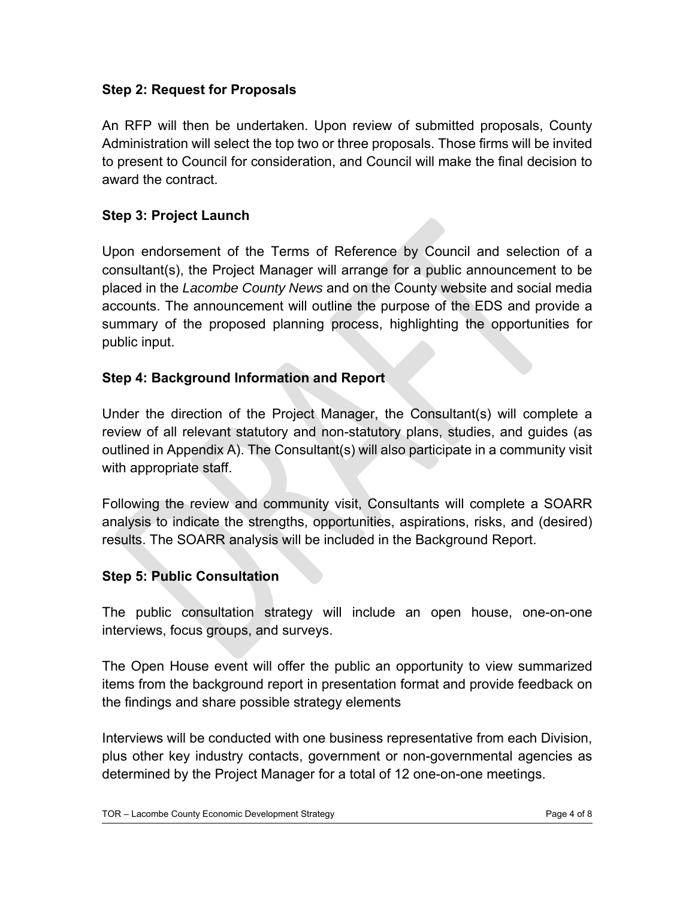#### **Step 2: Request for Proposals**

An RFP will then be undertaken. Upon review of submitted proposals, County Administration will select the top two or three proposals. Those firms will be invited to present to Council for consideration, and Council will make the final decision to award the contract.

#### **Step 3: Project Launch**

Upon endorsement of the Terms of Reference by Council and selection of a consultant(s), the Project Manager will arrange for a public announcement to be placed in the *Lacombe County News* and on the County website and social media accounts. The announcement will outline the purpose of the EDS and provide a summary of the proposed planning process, highlighting the opportunities for public input.

#### **Step 4: Background Information and Report**

Under the direction of the Project Manager, the Consultant(s) will complete a review of all relevant statutory and non-statutory plans, studies, and guides (as outlined in Appendix A). The Consultant(s) will also participate in a community visit with appropriate staff.

Following the review and community visit, Consultants will complete a SOARR analysis to indicate the strengths, opportunities, aspirations, risks, and (desired) results. The SOARR analysis will be included in the Background Report.

#### **Step 5: Public Consultation**

The public consultation strategy will include an open house, one-on-one interviews, focus groups, and surveys.

The Open House event will offer the public an opportunity to view summarized items from the background report in presentation format and provide feedback on the findings and share possible strategy elements

Interviews will be conducted with one business representative from each Division, plus other key industry contacts, government or non-governmental agencies as determined by the Project Manager for a total of 12 one-on-one meetings.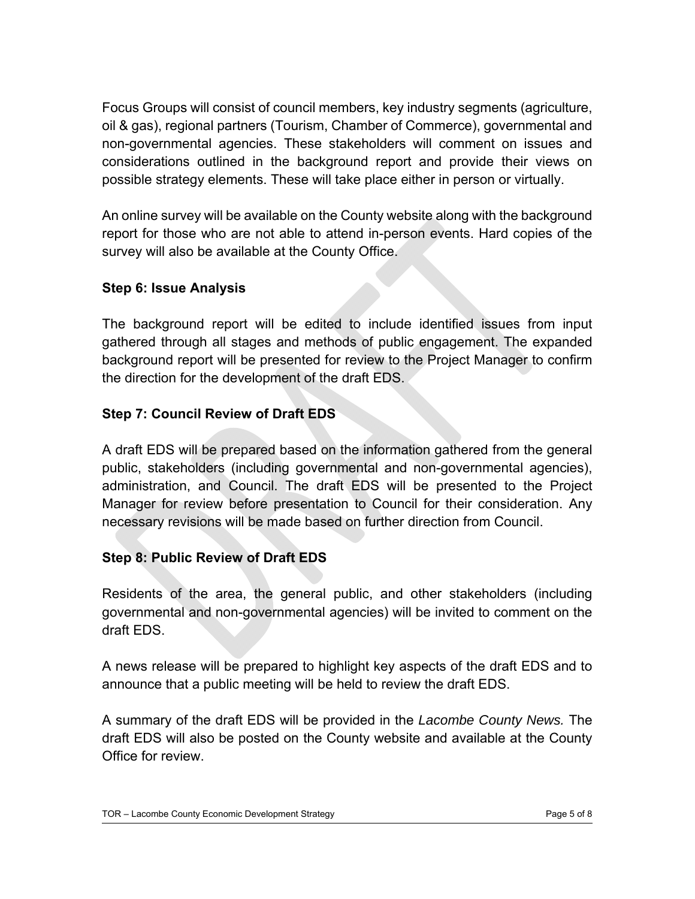Focus Groups will consist of council members, key industry segments (agriculture, oil & gas), regional partners (Tourism, Chamber of Commerce), governmental and non-governmental agencies. These stakeholders will comment on issues and considerations outlined in the background report and provide their views on possible strategy elements. These will take place either in person or virtually.

An online survey will be available on the County website along with the background report for those who are not able to attend in-person events. Hard copies of the survey will also be available at the County Office.

#### **Step 6: Issue Analysis**

The background report will be edited to include identified issues from input gathered through all stages and methods of public engagement. The expanded background report will be presented for review to the Project Manager to confirm the direction for the development of the draft EDS.

#### **Step 7: Council Review of Draft EDS**

A draft EDS will be prepared based on the information gathered from the general public, stakeholders (including governmental and non-governmental agencies), administration, and Council. The draft EDS will be presented to the Project Manager for review before presentation to Council for their consideration. Any necessary revisions will be made based on further direction from Council.

#### **Step 8: Public Review of Draft EDS**

Residents of the area, the general public, and other stakeholders (including governmental and non-governmental agencies) will be invited to comment on the draft EDS.

A news release will be prepared to highlight key aspects of the draft EDS and to announce that a public meeting will be held to review the draft EDS.

A summary of the draft EDS will be provided in the *Lacombe County News.* The draft EDS will also be posted on the County website and available at the County Office for review.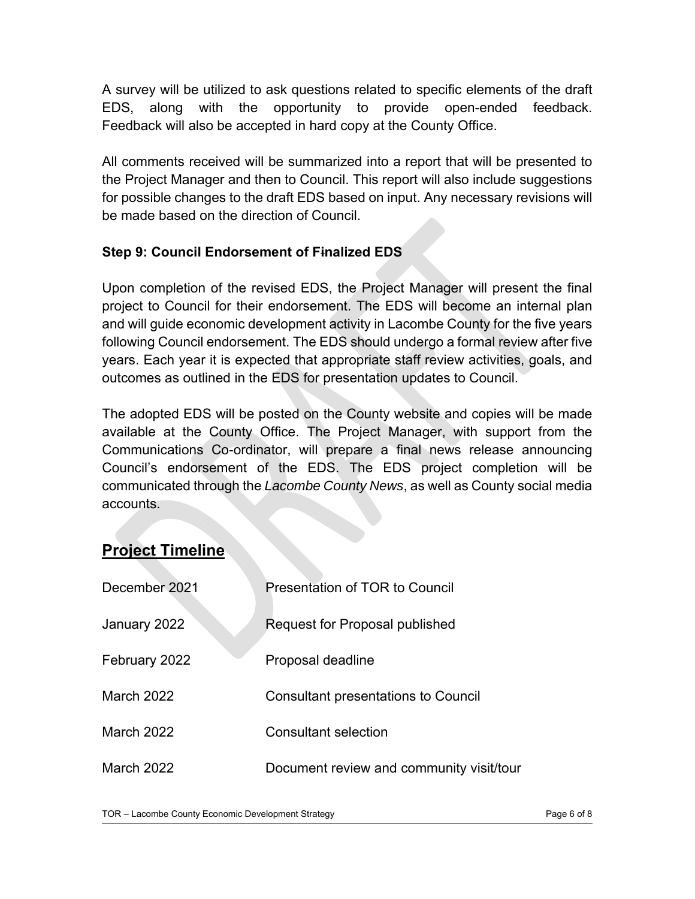A survey will be utilized to ask questions related to specific elements of the draft EDS, along with the opportunity to provide open-ended feedback. Feedback will also be accepted in hard copy at the County Office.

All comments received will be summarized into a report that will be presented to the Project Manager and then to Council. This report will also include suggestions for possible changes to the draft EDS based on input. Any necessary revisions will be made based on the direction of Council.

#### **Step 9: Council Endorsement of Finalized EDS**

Upon completion of the revised EDS, the Project Manager will present the final project to Council for their endorsement. The EDS will become an internal plan and will guide economic development activity in Lacombe County for the five years following Council endorsement. The EDS should undergo a formal review after five years. Each year it is expected that appropriate staff review activities, goals, and outcomes as outlined in the EDS for presentation updates to Council.

The adopted EDS will be posted on the County website and copies will be made available at the County Office. The Project Manager, with support from the Communications Co-ordinator, will prepare a final news release announcing Council's endorsement of the EDS. The EDS project completion will be communicated through the *Lacombe County News*, as well as County social media accounts.

## **Project Timeline**

| December 2021 | Presentation of TOR to Council             |
|---------------|--------------------------------------------|
| January 2022  | Request for Proposal published             |
| February 2022 | Proposal deadline                          |
| March 2022    | <b>Consultant presentations to Council</b> |
| March 2022    | <b>Consultant selection</b>                |
| March 2022    | Document review and community visit/tour   |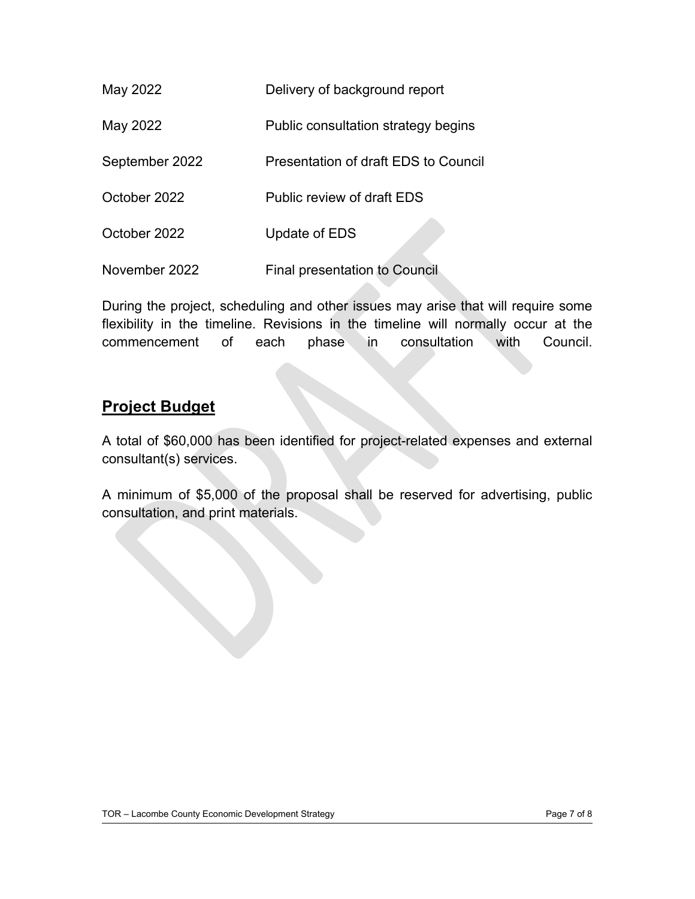| May 2022       | Delivery of background report        |
|----------------|--------------------------------------|
| May 2022       | Public consultation strategy begins  |
| September 2022 | Presentation of draft EDS to Council |
| October 2022   | Public review of draft EDS           |
| October 2022   | Update of EDS                        |
| November 2022  | <b>Final presentation to Council</b> |

During the project, scheduling and other issues may arise that will require some flexibility in the timeline. Revisions in the timeline will normally occur at the commencement of each phase in consultation with Council.

## **Project Budget**

A total of \$60,000 has been identified for project-related expenses and external consultant(s) services.

A minimum of \$5,000 of the proposal shall be reserved for advertising, public consultation, and print materials.